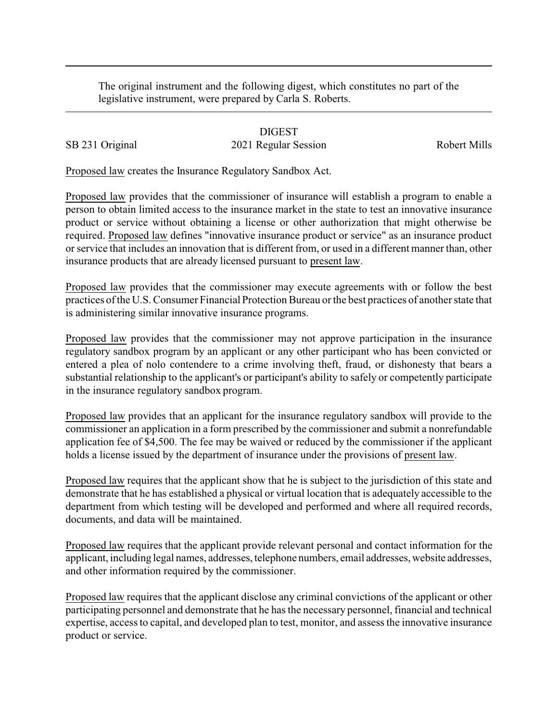The original instrument and the following digest, which constitutes no part of the legislative instrument, were prepared by Carla S. Roberts.

DIGEST SB 231 Original 2021 Regular Session Robert Mills

Proposed law creates the Insurance Regulatory Sandbox Act.

Proposed law provides that the commissioner of insurance will establish a program to enable a person to obtain limited access to the insurance market in the state to test an innovative insurance product or service without obtaining a license or other authorization that might otherwise be required. Proposed law defines "innovative insurance product or service" as an insurance product or service that includes an innovation that is different from, or used in a different manner than, other insurance products that are already licensed pursuant to present law.

Proposed law provides that the commissioner may execute agreements with or follow the best practices of the U.S. Consumer Financial Protection Bureau or the best practices of another state that is administering similar innovative insurance programs.

Proposed law provides that the commissioner may not approve participation in the insurance regulatory sandbox program by an applicant or any other participant who has been convicted or entered a plea of nolo contendere to a crime involving theft, fraud, or dishonesty that bears a substantial relationship to the applicant's or participant's ability to safely or competently participate in the insurance regulatory sandbox program.

Proposed law provides that an applicant for the insurance regulatory sandbox will provide to the commissioner an application in a form prescribed by the commissioner and submit a nonrefundable application fee of \$4,500. The fee may be waived or reduced by the commissioner if the applicant holds a license issued by the department of insurance under the provisions of present law.

Proposed law requires that the applicant show that he is subject to the jurisdiction of this state and demonstrate that he has established a physical or virtual location that is adequately accessible to the department from which testing will be developed and performed and where all required records, documents, and data will be maintained.

Proposed law requires that the applicant provide relevant personal and contact information for the applicant, including legal names, addresses, telephone numbers, email addresses, website addresses, and other information required by the commissioner.

Proposed law requires that the applicant disclose any criminal convictions of the applicant or other participating personnel and demonstrate that he has the necessary personnel, financial and technical expertise, access to capital, and developed plan to test, monitor, and assess the innovative insurance product or service.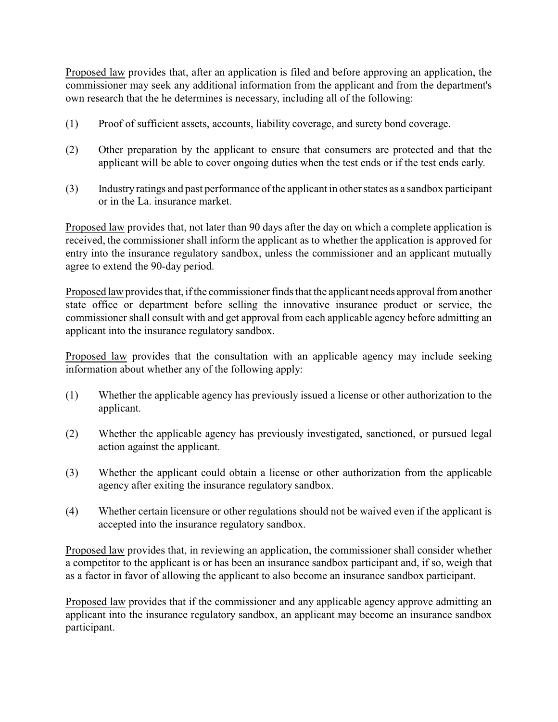Proposed law provides that, after an application is filed and before approving an application, the commissioner may seek any additional information from the applicant and from the department's own research that the he determines is necessary, including all of the following:

- (1) Proof of sufficient assets, accounts, liability coverage, and surety bond coverage.
- (2) Other preparation by the applicant to ensure that consumers are protected and that the applicant will be able to cover ongoing duties when the test ends or if the test ends early.
- (3) Industry ratings and past performance of the applicant in other states as a sandbox participant or in the La. insurance market.

Proposed law provides that, not later than 90 days after the day on which a complete application is received, the commissioner shall inform the applicant as to whether the application is approved for entry into the insurance regulatory sandbox, unless the commissioner and an applicant mutually agree to extend the 90-day period.

Proposed law provides that, if the commissioner finds that the applicant needs approval from another state office or department before selling the innovative insurance product or service, the commissioner shall consult with and get approval from each applicable agency before admitting an applicant into the insurance regulatory sandbox.

Proposed law provides that the consultation with an applicable agency may include seeking information about whether any of the following apply:

- (1) Whether the applicable agency has previously issued a license or other authorization to the applicant.
- (2) Whether the applicable agency has previously investigated, sanctioned, or pursued legal action against the applicant.
- (3) Whether the applicant could obtain a license or other authorization from the applicable agency after exiting the insurance regulatory sandbox.
- (4) Whether certain licensure or other regulations should not be waived even if the applicant is accepted into the insurance regulatory sandbox.

Proposed law provides that, in reviewing an application, the commissioner shall consider whether a competitor to the applicant is or has been an insurance sandbox participant and, if so, weigh that as a factor in favor of allowing the applicant to also become an insurance sandbox participant.

Proposed law provides that if the commissioner and any applicable agency approve admitting an applicant into the insurance regulatory sandbox, an applicant may become an insurance sandbox participant.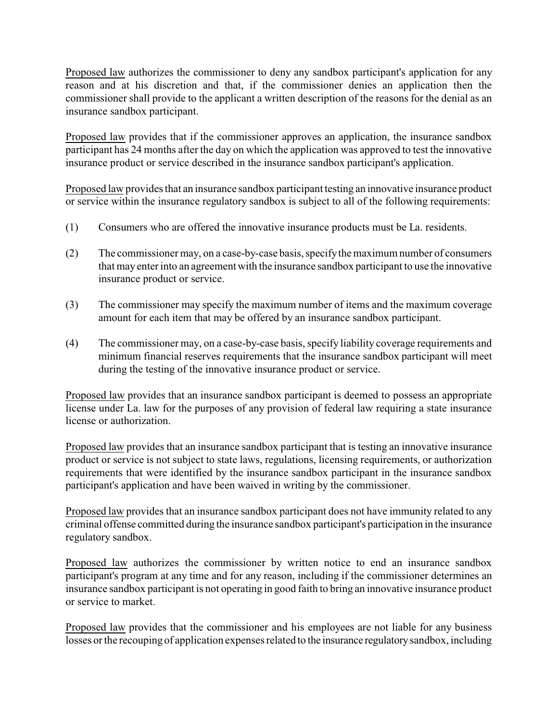Proposed law authorizes the commissioner to deny any sandbox participant's application for any reason and at his discretion and that, if the commissioner denies an application then the commissioner shall provide to the applicant a written description of the reasons for the denial as an insurance sandbox participant.

Proposed law provides that if the commissioner approves an application, the insurance sandbox participant has 24 months after the day on which the application was approved to test the innovative insurance product or service described in the insurance sandbox participant's application.

Proposed law provides that an insurance sandbox participant testing an innovative insurance product or service within the insurance regulatory sandbox is subject to all of the following requirements:

- (1) Consumers who are offered the innovative insurance products must be La. residents.
- (2) The commissioner may, on a case-by-case basis, specifythe maximum number of consumers that may enter into an agreement with the insurance sandbox participant to use the innovative insurance product or service.
- (3) The commissioner may specify the maximum number of items and the maximum coverage amount for each item that may be offered by an insurance sandbox participant.
- (4) The commissioner may, on a case-by-case basis, specify liability coverage requirements and minimum financial reserves requirements that the insurance sandbox participant will meet during the testing of the innovative insurance product or service.

Proposed law provides that an insurance sandbox participant is deemed to possess an appropriate license under La. law for the purposes of any provision of federal law requiring a state insurance license or authorization.

Proposed law provides that an insurance sandbox participant that is testing an innovative insurance product or service is not subject to state laws, regulations, licensing requirements, or authorization requirements that were identified by the insurance sandbox participant in the insurance sandbox participant's application and have been waived in writing by the commissioner.

Proposed law provides that an insurance sandbox participant does not have immunity related to any criminal offense committed during the insurance sandbox participant's participation in the insurance regulatory sandbox.

Proposed law authorizes the commissioner by written notice to end an insurance sandbox participant's program at any time and for any reason, including if the commissioner determines an insurance sandbox participant is not operating in good faith to bring an innovative insurance product or service to market.

Proposed law provides that the commissioner and his employees are not liable for any business losses or the recouping of application expenses related to the insurance regulatorysandbox, including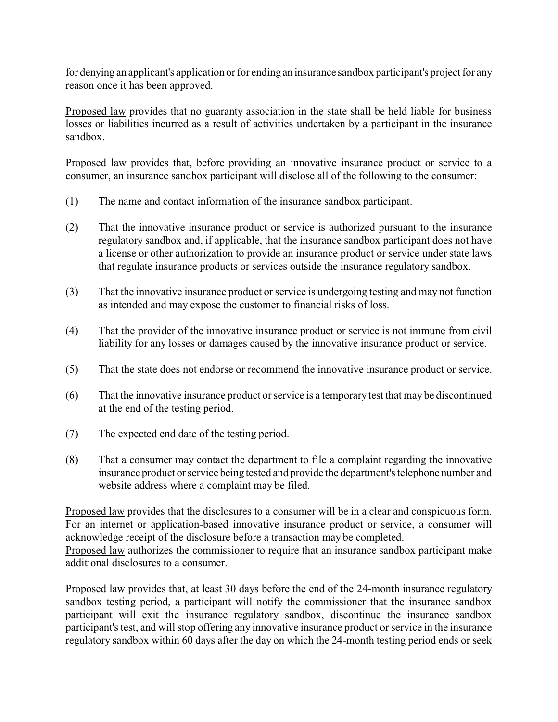for denying an applicant's application or for ending an insurance sandbox participant's project for any reason once it has been approved.

Proposed law provides that no guaranty association in the state shall be held liable for business losses or liabilities incurred as a result of activities undertaken by a participant in the insurance sandbox.

Proposed law provides that, before providing an innovative insurance product or service to a consumer, an insurance sandbox participant will disclose all of the following to the consumer:

- (1) The name and contact information of the insurance sandbox participant.
- (2) That the innovative insurance product or service is authorized pursuant to the insurance regulatory sandbox and, if applicable, that the insurance sandbox participant does not have a license or other authorization to provide an insurance product or service under state laws that regulate insurance products or services outside the insurance regulatory sandbox.
- (3) That the innovative insurance product or service is undergoing testing and may not function as intended and may expose the customer to financial risks of loss.
- (4) That the provider of the innovative insurance product or service is not immune from civil liability for any losses or damages caused by the innovative insurance product or service.
- (5) That the state does not endorse or recommend the innovative insurance product or service.
- (6) That the innovative insurance product or service is a temporary test that may be discontinued at the end of the testing period.
- (7) The expected end date of the testing period.
- (8) That a consumer may contact the department to file a complaint regarding the innovative insurance product or service being tested and provide the department's telephone number and website address where a complaint may be filed.

Proposed law provides that the disclosures to a consumer will be in a clear and conspicuous form. For an internet or application-based innovative insurance product or service, a consumer will acknowledge receipt of the disclosure before a transaction may be completed.

Proposed law authorizes the commissioner to require that an insurance sandbox participant make additional disclosures to a consumer.

Proposed law provides that, at least 30 days before the end of the 24-month insurance regulatory sandbox testing period, a participant will notify the commissioner that the insurance sandbox participant will exit the insurance regulatory sandbox, discontinue the insurance sandbox participant's test, and will stop offering any innovative insurance product or service in the insurance regulatory sandbox within 60 days after the day on which the 24-month testing period ends or seek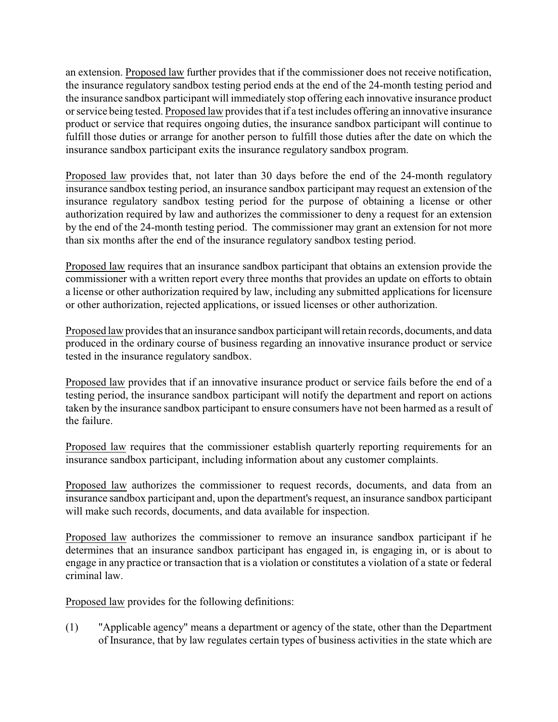an extension. Proposed law further provides that if the commissioner does not receive notification, the insurance regulatory sandbox testing period ends at the end of the 24-month testing period and the insurance sandbox participant will immediately stop offering each innovative insurance product or service being tested. Proposed law provides that if a test includes offering an innovative insurance product or service that requires ongoing duties, the insurance sandbox participant will continue to fulfill those duties or arrange for another person to fulfill those duties after the date on which the insurance sandbox participant exits the insurance regulatory sandbox program.

Proposed law provides that, not later than 30 days before the end of the 24-month regulatory insurance sandbox testing period, an insurance sandbox participant may request an extension of the insurance regulatory sandbox testing period for the purpose of obtaining a license or other authorization required by law and authorizes the commissioner to deny a request for an extension by the end of the 24-month testing period. The commissioner may grant an extension for not more than six months after the end of the insurance regulatory sandbox testing period.

Proposed law requires that an insurance sandbox participant that obtains an extension provide the commissioner with a written report every three months that provides an update on efforts to obtain a license or other authorization required by law, including any submitted applications for licensure or other authorization, rejected applications, or issued licenses or other authorization.

Proposed law provides that an insurance sandbox participant will retain records, documents, and data produced in the ordinary course of business regarding an innovative insurance product or service tested in the insurance regulatory sandbox.

Proposed law provides that if an innovative insurance product or service fails before the end of a testing period, the insurance sandbox participant will notify the department and report on actions taken by the insurance sandbox participant to ensure consumers have not been harmed as a result of the failure.

Proposed law requires that the commissioner establish quarterly reporting requirements for an insurance sandbox participant, including information about any customer complaints.

Proposed law authorizes the commissioner to request records, documents, and data from an insurance sandbox participant and, upon the department's request, an insurance sandbox participant will make such records, documents, and data available for inspection.

Proposed law authorizes the commissioner to remove an insurance sandbox participant if he determines that an insurance sandbox participant has engaged in, is engaging in, or is about to engage in any practice or transaction that is a violation or constitutes a violation of a state or federal criminal law.

Proposed law provides for the following definitions:

(1) "Applicable agency" means a department or agency of the state, other than the Department of Insurance, that by law regulates certain types of business activities in the state which are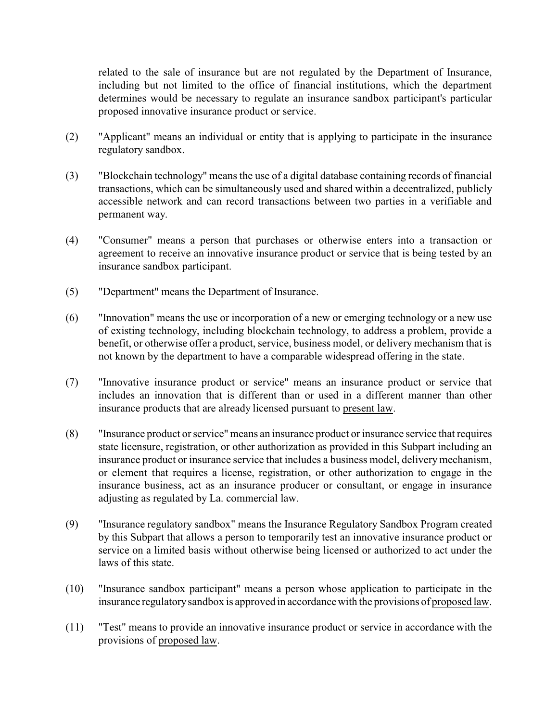related to the sale of insurance but are not regulated by the Department of Insurance, including but not limited to the office of financial institutions, which the department determines would be necessary to regulate an insurance sandbox participant's particular proposed innovative insurance product or service.

- (2) "Applicant" means an individual or entity that is applying to participate in the insurance regulatory sandbox.
- (3) "Blockchain technology" means the use of a digital database containing records of financial transactions, which can be simultaneously used and shared within a decentralized, publicly accessible network and can record transactions between two parties in a verifiable and permanent way.
- (4) "Consumer" means a person that purchases or otherwise enters into a transaction or agreement to receive an innovative insurance product or service that is being tested by an insurance sandbox participant.
- (5) "Department" means the Department of Insurance.
- (6) "Innovation" means the use or incorporation of a new or emerging technology or a new use of existing technology, including blockchain technology, to address a problem, provide a benefit, or otherwise offer a product, service, business model, or delivery mechanism that is not known by the department to have a comparable widespread offering in the state.
- (7) "Innovative insurance product or service" means an insurance product or service that includes an innovation that is different than or used in a different manner than other insurance products that are already licensed pursuant to present law.
- (8) "Insurance product or service"means an insurance product or insurance service that requires state licensure, registration, or other authorization as provided in this Subpart including an insurance product or insurance service that includes a business model, delivery mechanism, or element that requires a license, registration, or other authorization to engage in the insurance business, act as an insurance producer or consultant, or engage in insurance adjusting as regulated by La. commercial law.
- (9) "Insurance regulatory sandbox" means the Insurance Regulatory Sandbox Program created by this Subpart that allows a person to temporarily test an innovative insurance product or service on a limited basis without otherwise being licensed or authorized to act under the laws of this state.
- (10) "Insurance sandbox participant" means a person whose application to participate in the insurance regulatorysandbox is approved in accordance with the provisions of proposed law.
- (11) "Test" means to provide an innovative insurance product or service in accordance with the provisions of proposed law.